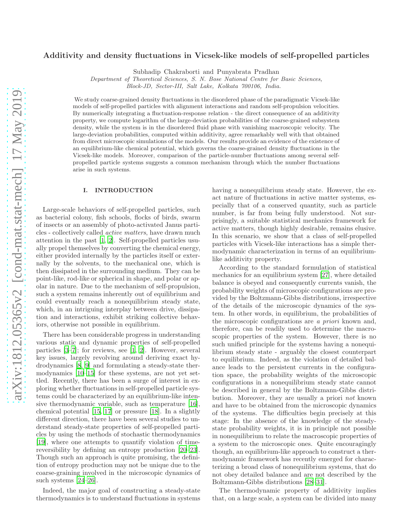# Additivity and density fluctuations in Vicsek-like models of self-propelled particles

Subhadip Chakraborti and Punyabrata Pradhan

Department of Theoretical Sciences, S. N. Bose National Centre for Basic Sciences,

Block-JD, Sector-III, Salt Lake, Kolkata 700106, India.

We study coarse-grained density fluctuations in the disordered phase of the paradigmatic Vicsek-like models of self-propelled particles with alignment interactions and random self-propulsion velocities. By numerically integrating a fluctuation-response relation - the direct consequence of an additivity property, we compute logarithm of the large-deviation probabilities of the coarse-grained subsystem density, while the system is in the disordered fluid phase with vanishing macroscopic velocity. The large-deviation probabilities, computed within additivity, agree remarkably well with that obtained from direct microscopic simulations of the models. Our results provide an evidence of the existence of an equilibrium-like chemical potential, which governs the coarse-grained density fluctuations in the Vicsek-like models. Moreover, comparison of the particle-number fluctuations among several selfpropelled particle systems suggests a common mechanism through which the number fluctuations arise in such systems.

#### I. INTRODUCTION

Large-scale behaviors of self-propelled particles, such as bacterial colony, fish schools, flocks of birds, swarm of insects or an assembly of photo-activated Janus particles - collectively called active matters, have drawn much attention in the past [\[1,](#page-11-0) [2](#page-11-1)]. Self-propelled particles usually propel themselves by converting the chemical energy, either provided internally by the particles itself or externally by the solvents, to the mechanical one, which is then dissipated in the surrounding medium. They can be point-like, rod-like or spherical in shape, and polar or apolar in nature. Due to the mechanism of self-propulsion, such a system remains inherently out of equilibrium and could eventually reach a nonequilibrium steady state, which, in an intriguing interplay between drive, dissipation and interactions, exhibit striking collective behaviors, otherwise not possible in equilibrium.

There has been considerable progress in understanding various static and dynamic properties of self-propelled particles [\[3](#page-11-2)[–7](#page-11-3)]; for reviews, see [\[1,](#page-11-0) [2\]](#page-11-1). However, several key issues, largely revolving around deriving exact hydrodynamics [\[8,](#page-11-4) [9\]](#page-11-5) and formulating a steady-state thermodynamics [\[10](#page-11-6)[–15](#page-11-7)] for these systems, are not yet settled. Recently, there has been a surge of interest in exploring whether fluctuations in self-propelled particle systems could be characterized by an equilibrium-like intensive thermodynamic variable, such as temperature [\[16\]](#page-11-8), chemical potential [\[15,](#page-11-7) [17\]](#page-11-9) or pressure [\[18](#page-11-10)]. In a slightly different direction, there have been several studies to understand steady-state properties of self-propelled particles by using the methods of stochastic thermodynamics [\[19\]](#page-11-11), where one attempts to quantify violation of timereversibility by defining an entropy production [\[20](#page-11-12)[–23\]](#page-11-13). Though such an approach is quite promising, the definition of entropy production may not be unique due to the coarse-graining involved in the microscopic dynamics of such systems [\[24](#page-11-14)[–26](#page-11-15)].

Indeed, the major goal of constructing a steady-state thermodynamics is to understand fluctuations in systems

having a nonequilibrium steady state. However, the exact nature of fluctuations in active matter systems, especially that of a conserved quantity, such as particle number, is far from being fully understood. Not surprisingly, a suitable statistical mechanics framework for active matters, though highly desirable, remains elusive. In this scenario, we show that a class of self-propelled particles with Vicsek-like interactions has a simple thermodynamic characterization in terms of an equilibriumlike additivity property.

According to the standard formulation of statistical mechanics for an equilibrium system [\[27\]](#page-11-16), where detailed balance is obeyed and consequently currents vanish, the probability weights of microscopic configurations are provided by the Boltzmann-Gibbs distributions, irrespective of the details of the microscopic dynamics of the system. In other words, in equilibrium, the probabilities of the microscopic configurations are a priori known and, therefore, can be readily used to determine the macroscopic properties of the system. However, there is no such unified principle for the systems having a nonequilibrium steady state - arguably the closest counterpart to equilibrium. Indeed, as the violation of detailed balance leads to the persistent currents in the configuration space, the probability weights of the microscopic configurations in a nonequilibrium steady state cannot be described in general by the Boltzmann-Gibbs distribution. Moreover, they are usually a priori not known and have to be obtained from the microscopic dynamics of the systems. The difficulties begin precisely at this stage: In the absence of the knowledge of the steadystate probability weights, it is in principle not possible in nonequilibrium to relate the macroscopic properties of a system to the microscopic ones. Quite encouragingly though, an equilibrium-like approach to construct a thermodynamic framework has recently emerged for characterizing a broad class of nonequilibrium systems, that do not obey detailed balance and are not described by the Boltzmann-Gibbs distributions [\[28](#page-11-17)[–31\]](#page-11-18).

The thermodynamic property of additivity implies that, on a large scale, a system can be divided into many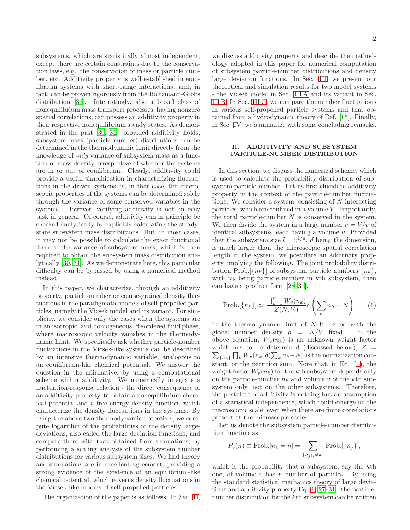subsystems, which are statistically almost independent, except there are certain constraints due to the conservation laws, e.g., the conservation of mass or particle number, etc. Additivity property is well established in equilibrium systems with short-range interactions, and, in fact, can be proven rigorously from the Boltzmann-Gibbs distribution [\[36](#page-11-19)]. Interestingly, also a broad class of nonequilibrium mass transport processes, having nonzero spatial correlations, can possess an additivity property in their respective nonequilibrium steady states. As demonstrated in the past [\[30](#page-11-20), [31\]](#page-11-18), provided additivity holds, subsystem mass (particle number) distributions can be determined in the thermodynamic limit directly from the knowledge of only variance of subsystem mass as a function of mass density, irrespective of whether the systems are in or out of equilibrium. Clearly, additivity could provide a useful simplification in characterizing fluctuations in the driven systems as, in that case, the macroscopic properties of the systems can be determined solely through the variance of some conserved variables in the systems. However, verifying additivity is not an easy task in general. Of course, additivity can in principle be checked analytically by explicitly calculating the steadystate subsystem mass distributions. But, in most cases, it may not be possible to calculate the exact functional form of the variance of subsystem mass, which is then required to obtain the subsystem mass distribution analytically [\[30](#page-11-20), [31\]](#page-11-18). As we demonstrate here, this particular difficulty can be bypassed by using a numerical method instead.

In this paper, we characterize, through an additivity property, particle-number or coarse-grained density fluctuations in the paradigmatic models of self-propelled particles, namely the Vicsek model and its variant. For simplicity, we consider only the cases when the systems are in an isotropic, and homogeneous, disordered fluid phase, where macroscopic velocity vanishes in the thermodynamic limit. We specifically ask whether particle-number fluctuations in the Vicsek-like systems can be described by an intensive thermodynamic variable, analogous to an equilibrium-like chemical potential. We answer the question in the affirmative, by using a computational scheme within additivity. We numerically integrate a fluctuation-response relation - the direct consequence of an additivity property, to obtain a nonequilibrium chemical potential and a free energy density function, which characterize the density fluctuations in the systems. By using the above two thermodynamic potentials, we compute logarithm of the probabilities of the density largedeviations, also called the large deviation functions, and compare them with that obtained from simulations, by performing a scaling analysis of the subsystem number distributions for various subsystem sizes. We find theory and simulations are in excellent agreement, providing a strong evidence of the existence of an equilibrium-like chemical potential, which governs density fluctuations in the Vicsek-like models of self-propelled particles.

The organization of the paper is as follows. In Sec. [II,](#page-1-0)

we discuss additivity property and describe the methodology adopted in this paper for numerical computation of subsystem particle-number distributions and density large deviation functions. In Sec. [III,](#page-2-0) we present our theoretical and simulation results for two model systems - the Vicsek model in Sec. [III A](#page-3-0) and its variant in Sec. [III B.](#page-7-0) In Sec. [III C,](#page-8-0) we compare the number fluctuations in various self-propelled particle systems and that obtained from a hydrodynamic theory of Ref. [\[15\]](#page-11-7). Finally, in Sec. [IV,](#page-9-0) we summarize with some concluding remarks.

## <span id="page-1-0"></span>II. ADDITIVITY AND SUBSYSTEM PARTICLE-NUMBER DISTRIBUTION

In this section, we discuss the numerical scheme, which is used to calculate the probability distribution of subsystem particle-number. Let us first elucidate additivity property in the context of the particle-number fluctuations. We consider a system, consisting of N interacting particles, which are confined in a volume  $V$ . Importantly, the total particle-number  $N$  is conserved in the system. We then divide the system in a large number  $\nu = V/v$  of identical subsystems, each having a volume v. Provided that the subsystem size  $l = v^{1/d}$ , d being the dimension, is much larger than the microscopic spatial correlation length in the system, we postulate an additivity property, implying the following. The joint probability distribution Prob.  $\{n_k\}$  of subsystem particle numbers  $\{n_k\}$ , with  $n_k$  being particle number in kth subsystem, then can have a product form [\[28](#page-11-17)[–31](#page-11-18)],

<span id="page-1-1"></span>
$$
\text{Prob.}[\{n_k\}] \simeq \frac{\prod_{k=1}^{\nu} W_v(n_k)}{Z(N, V)} \delta\left(\sum_k n_k - N\right), \quad (1)
$$

in the thermodynamic limit of  $N, V \rightarrow \infty$  with the global number density  $\rho = N/V$  fixed. In the above equation,  $W_v(n_k)$  is an unknown weight factor  $\sum_{\{n_k\}} \prod_k W_v(n_k) \delta(\sum_k n_k - N)$  is the normalization conwhich has to be determined (discussed below),  $Z =$ stant, or the partition sum. Note that, in Eq. [\(1\)](#page-1-1), the weight factor  $W_v(n_k)$  for the kth subsystem depends only on the particle-number  $n_k$  and volume v of the kth subsystem only, not on the other subsystems. Therefore, the postulate of additivity is nothing but an assumption of a statistical independence, which could emerge on the macroscopic scale, even when there are finite correlations present at the microscopic scales.

Let us denote the subsystem particle-number distribution function as

$$
P_v(n) \equiv \text{Prob.}[n_k = n] = \sum_{\{n_j; j \neq k\}} \text{Prob.}[\{n_j\}],
$$

which is the probability that a subsystem, say the kth one, of volume  $v$  has  $n$  number of particles. By using the standard statistical mechanics theory of large deviations and additivity property Eq. [1](#page-1-1) [\[27](#page-11-16)[–31\]](#page-11-18), the particlenumber distribution for the kth subsystem can be written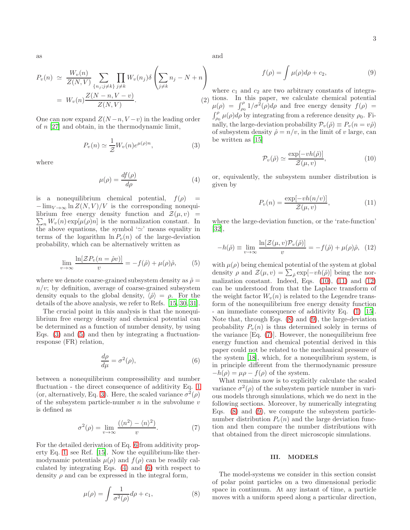as

$$
P_v(n) \simeq \frac{W_v(n)}{Z(N,V)} \sum_{\{n_j; j \neq k\}} \prod_{j \neq k} W_v(n_j) \delta \left( \sum_{j \neq k} n_j - N + n \right)
$$
  
=  $W_v(n) \frac{Z(N-n, V-v)}{Z(N, V)}.$  (2)

One can now expand  $Z(N-n, V-v)$  in the leading order of n [\[27](#page-11-16)] and obtain, in the thermodynamic limit,

<span id="page-2-1"></span>
$$
P_v(n) \simeq \frac{1}{\mathcal{Z}} W_v(n) e^{\mu(\rho)n},\tag{3}
$$

where

<span id="page-2-4"></span>
$$
\mu(\rho) = \frac{df(\rho)}{d\rho} \tag{4}
$$

is a nonequilibrium chemical potential,  $f(\rho)$  =  $-\lim_{V\to\infty} \ln Z(N,V)/V$  is the corresponding nonequilibrium free energy density function and  $\mathcal{Z}(\mu, v)$  =  $\sum_n W_v(n) \exp[\mu(\rho)n]$  is the normalization constant. In the above equations, the symbol ' $\simeq$ ' means equality in terms of the logarithm  $\ln P_v(n)$  of the large-deviation probability, which can be alternatively written as

<span id="page-2-2"></span>
$$
\lim_{v \to \infty} \frac{\ln[\mathcal{Z}P_v(n = \hat{\rho}v)]}{v} = -f(\hat{\rho}) + \mu(\rho)\hat{\rho}, \qquad (5)
$$

where we denote coarse-grained subsystem density as  $\hat{\rho} =$  $n/v$ ; by definition, average of coarse-grained subsystem density equals to the global density,  $\langle \hat{\rho} \rangle = \rho$ . For the details of the above analysis, we refer to Refs. [\[15,](#page-11-7) [30,](#page-11-20) [31\]](#page-11-18).

The crucial point in this analysis is that the nonequilibrium free energy density and chemical potential can be determined as a function of number density, by using Eqs.  $(3)$  and  $(5)$  and then by integrating a fluctuationresponse (FR) relation,

<span id="page-2-3"></span>
$$
\frac{d\rho}{d\mu} = \sigma^2(\rho),\tag{6}
$$

between a nonequilibrium compressibility and number fluctuation - the direct consequence of additivity Eq. [1](#page-1-1) (or, alternatively, Eq. [3\)](#page-2-1). Here, the scaled variance  $\sigma^2(\rho)$ of the subsystem particle-number  $n$  in the subvolume  $v$ is defined as

<span id="page-2-10"></span>
$$
\sigma^{2}(\rho) = \lim_{v \to \infty} \frac{(\langle n^{2} \rangle - \langle n \rangle^{2})}{v}.
$$
 (7)

For the detailed derivation of Eq. [6](#page-2-3) from additivity property Eq. [1,](#page-1-1) see Ref. [\[15\]](#page-11-7). Now the equilibrium-like thermodynamic potentials  $\mu(\rho)$  and  $f(\rho)$  can be readily calculated by integrating Eqs. [\(4\)](#page-2-4) and [\(6\)](#page-2-3) with respect to density  $\rho$  and can be expressed in the integral form,

<span id="page-2-8"></span>
$$
\mu(\rho) = \int \frac{1}{\sigma^2(\rho)} d\rho + c_1,\tag{8}
$$

and

<span id="page-2-9"></span>
$$
f(\rho) = \int \mu(\rho)d\rho + c_2,\tag{9}
$$

where  $c_1$  and  $c_2$  are two arbitrary constants of integrations. In this paper, we calculate chemical potential  $\mu(\rho) = \int_{\rho_0}^{\rho} 1/\sigma^2(\rho) d\rho$  and free energy density  $f(\rho) =$  $\int_{\rho_0}^{\rho} \mu(\rho) d\rho$  by integrating from a reference density  $\rho_0$ . Finally, the large-deviation probability  $\mathcal{P}_v(\hat{\rho}) \equiv P_v(n = v\hat{\rho})$ of subsystem density  $\hat{\rho} = n/v$ , in the limit of v large, can be written as [\[15\]](#page-11-7)

<span id="page-2-5"></span>
$$
\mathcal{P}_v(\hat{\rho}) \simeq \frac{\exp[-vh(\hat{\rho})]}{\mathcal{Z}(\mu, v)},\tag{10}
$$

or, equivalently, the subsystem number distribution is given by

<span id="page-2-6"></span>
$$
P_v(n) = \frac{\exp[-vh(n/v)]}{\mathcal{Z}(\mu, v)},\tag{11}
$$

where the large-deviation function, or the 'rate-function' [\[32\]](#page-11-21),

<span id="page-2-7"></span>
$$
-h(\hat{\rho}) \equiv \lim_{v \to \infty} \frac{\ln[\mathcal{Z}(\mu, v)\mathcal{P}_v(\hat{\rho})]}{v} = -f(\hat{\rho}) + \mu(\rho)\hat{\rho}, \quad (12)
$$

with  $\mu(\rho)$  being chemical potential of the system at global density  $\rho$  and  $\mathcal{Z}(\mu, v) = \sum_{\hat{\rho}} \exp[-vh(\hat{\rho})]$  being the normalization constant. Indeed, Eqs.  $(10)$ ,  $(11)$  and  $(12)$ can be understood from that the Laplace transform of the weight factor  $W_n(n)$  is related to the Legendre transform of the nonequilibrium free energy density function - an immediate consequence of additivity Eq. [\(1\)](#page-1-1) [\[15\]](#page-11-7). Note that, through Eqs. [\(8\)](#page-2-8) and [\(9\)](#page-2-9), the large-deviation probability  $P_v(n)$  is thus determined solely in terms of the variance  $[Eq. (7)]$  $[Eq. (7)]$  $[Eq. (7)]$ . However, the nonequilibrium free energy function and chemical potential derived in this paper could not be related to the mechanical pressure of the system [\[18\]](#page-11-10), which, for a nonequilibrium system, is in principle different from the thermodynamic pressure  $-h(\rho) = \mu \rho - f(\rho)$  of the system.

What remains now is to explicitly calculate the scaled variance  $\sigma^2(\rho)$  of the subsystem particle number in various models through simulations, which we do next in the following sections. Moreover, by numerically integrating Eqs. [\(8\)](#page-2-8) and [\(9\)](#page-2-9), we compute the subsystem particlenumber distribution  $P_v(n)$  and the large deviation function and then compare the number distributions with that obtained from the direct microscopic simulations.

#### <span id="page-2-0"></span>III. MODELS

The model-systems we consider in this section consist of polar point particles on a two dimensional periodic space in continuum. At any instant of time, a particle moves with a uniform speed along a particular direction,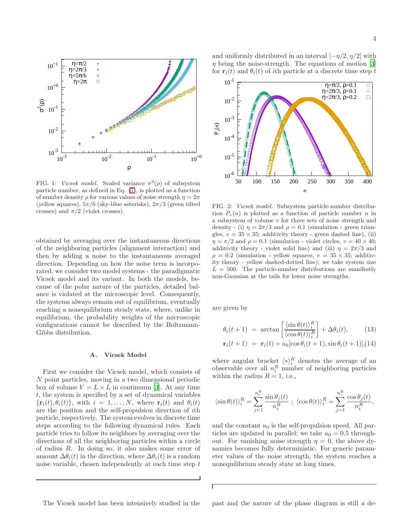

<span id="page-3-1"></span>FIG. 1: Vicsek model. Scaled variance  $\sigma^2(\rho)$  of subsystem particle number, as defined in Eq. [\(7\)](#page-2-10), is plotted as a function of number density  $\rho$  for various values of noise strength  $\eta = 2\pi$ (yellow squares),  $5\pi/6$  (sky-blue asterisks),  $2\pi/3$  (green tilted crosses) and  $\pi/2$  (violet crosses).

obtained by averaging over the instantaneous directions of the neighboring particles (alignment interaction) and then by adding a noise to the instantaneous averaged direction. Depending on how the noise term is incorporated, we consider two model systems - the paradigmatic Vicsek model and its variant. In both the models, because of the polar nature of the particles, detailed balance is violated at the microscopic level. Consequently, the systems always remain out of equilibrium, eventually reaching a nonequilibrium steady state, where, unlike in equilibrium, the probability weights of the microscopic configurations cannot be described by the Boltzmann-Gibbs distribution.

#### <span id="page-3-0"></span>A. Vicsek Model

First we consider the Vicsek model, which consists of N point particles, moving in a two dimensional periodic box of volume  $V = L \times L$  in continuum [\[3\]](#page-11-2). At any time t, the system is specified by a set of dynamical variables  ${\mathbf r}_i(t), \theta_i(t)$ , with  $i = 1, \ldots, N$ , where  ${\mathbf r}_i(t)$  and  $\theta_i(t)$ are the position and the self-propulsion direction of ith particle, respectively. The system evolves in discrete time steps according to the following dynamical rules. Each particle tries to follow its neighbors by averaging over the directions of all the neighboring particles within a circle of radius R. In doing so, it also makes some error of amount  $\Delta\theta_i(t)$  in the direction, where  $\Delta\theta_i(t)$  is a random noise variable, chosen independently at each time step  $t$ 

and uniformly distributed in an interval  $[-\eta/2, \eta/2]$  with  $\eta$  being the noise-strength. The equations of motion [\[3](#page-11-2)] for  $\mathbf{r}_i(t)$  and  $\theta_i(t)$  of ith particle at a discrete time step t



<span id="page-3-2"></span>FIG. 2: Vicsek model. Subsystem particle-number distribution  $P_v(n)$  is plotted as a function of particle number n in a subsystem of volume v for three sets of noise strength and density - (i)  $\eta = 2\pi/3$  and  $\rho = 0.1$  (simulation - green triangles,  $v = 35 \times 35$ ; additivity theory - green dashed line), (ii)  $\eta = \pi/2$  and  $\rho = 0.1$  (simulation - violet circles,  $v = 40 \times 40$ ; additivity theory - violet solid line) and (iii)  $\eta = 2\pi/3$  and  $\rho = 0.2$  (simulation - yellow squares,  $v = 35 \times 35$ ; additivity theory - yellow dashed-dotted line); we take system size  $L = 500$ . The particle-number distributions are manifestly non-Gaussian at the tails for lower noise strengths.

are given by

$$
\theta_i(t+1) = \arctan\left[\frac{\langle \sin \theta(t) \rangle_i^R}{\langle \cos \theta(t) \rangle_i^R}\right] + \Delta\theta_i(t), \quad (13)
$$

$$
\mathbf{r}_i(t+1) = \mathbf{r}_i(t) + u_0[\cos\theta_i(t+1), \sin\theta_i(t+1)] (14)
$$

where angular bracket  $\langle * \rangle_i^R$  denotes the average of an observable over all  $n_i^R$  number of neighboring particles within the radius  $R = 1$ , i.e.,

$$
\langle \sin \theta(t) \rangle_i^R = \sum_{j=1}^{n_i^R} \frac{\sin \theta_j(t)}{n_i^R} \; ; \; \langle \cos \theta(t) \rangle_i^R = \sum_{j=1}^{n_i^R} \frac{\cos \theta_j(t)}{n_i^R},
$$

and the constant  $u_0$  is the self-propulsion speed. All particles are updated in parallel; we take  $u_0 = 0.5$  throughout. For vanishing noise strength  $\eta = 0$ , the above dynamics becomes fully deterministic. For generic parameter values of the noise strength, the system reaches a nonequilibrium steady state at long times.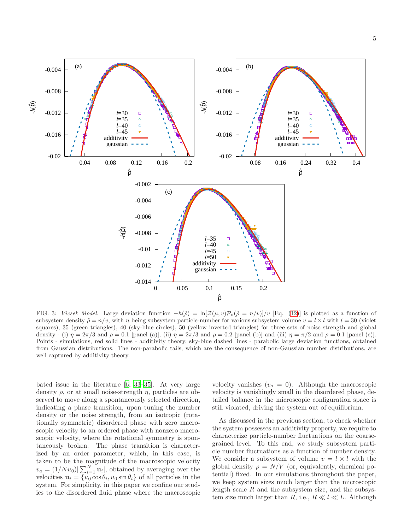

<span id="page-4-0"></span>FIG. 3: Vicsek Model. Large deviation function  $-h(\hat{\rho}) = \ln[\mathcal{Z}(\mu, v)\mathcal{P}_v(\hat{\rho} = n/v)]/v$  [Eq. [\(12\)](#page-2-7)] is plotted as a function of subsystem density  $\hat{\rho} = n/v$ , with n being subsystem particle-number for various subsystem volume  $v = l \times l$  with  $l = 30$  (violet squares), 35 (green triangles), 40 (sky-blue circles), 50 (yellow inverted triangles) for three sets of noise strength and global density - (i)  $\eta = 2\pi/3$  and  $\rho = 0.1$  [panel (a)], (ii)  $\eta = 2\pi/3$  and  $\rho = 0.2$  [panel (b)] and (iii)  $\eta = \pi/2$  and  $\rho = 0.1$  [panel (c)]. Points - simulations, red solid lines - additivity theory, sky-blue dashed lines - parabolic large deviation functions, obtained from Gaussian distributions. The non-parabolic tails, which are the consequence of non-Gaussian number distributions, are well captured by additivity theory.

bated issue in the literature [\[6,](#page-11-22) [33](#page-11-23)[–35\]](#page-11-24). At very large density  $\rho$ , or at small noise-strength  $\eta$ , particles are observed to move along a spontaneously selected direction, indicating a phase transition, upon tuning the number density or the noise strength, from an isotropic (rotationally symmetric) disordered phase with zero macroscopic velocity to an ordered phase with nonzero macroscopic velocity, where the rotational symmetry is spontaneously broken. The phase transition is characterized by an order parameter, which, in this case, is taken to be the magnitude of the macroscopic velocity  $v_a = (1/Nu_0) \sum_{i=1}^{N} \mathbf{u}_i$ , obtained by averaging over the velocities  $\mathbf{u}_i = \{u_0 \cos \theta_i, u_0 \sin \theta_i\}$  of all particles in the system. For simplicity, in this paper we confine our studies to the disordered fluid phase where the macroscopic

velocity vanishes  $(v_a = 0)$ . Although the macroscopic velocity is vanishingly small in the disordered phase, detailed balance in the microscopic configuration space is still violated, driving the system out of equilibrium.

As discussed in the previous section, to check whether the system possesses an additivity property, we require to characterize particle-number fluctuations on the coarsegrained level. To this end, we study subsystem particle number fluctuations as a function of number density. We consider a subsystem of volume  $v = l \times l$  with the global density  $\rho = N/V$  (or, equivalently, chemical potential) fixed. In our simulations throughout the paper, we keep system sizes much larger than the microscopic length scale  $R$  and the subsystem size, and the subsystem size much larger than R, i.e.,  $R \ll l \ll L$ . Although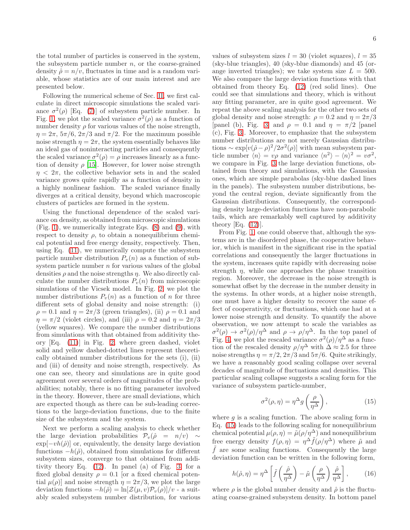the total number of particles is conserved in the system, the subsystem particle number  $n$ , or the coarse-grained density  $\hat{\rho} = n/v$ , fluctuates in time and is a random variable, whose statistics are of our main interest and are presented below.

Following the numerical scheme of Sec. [II,](#page-1-0) we first calculate in direct microscopic simulations the scaled variance  $\sigma^2(\rho)$  [Eq. [\(7\)](#page-2-10)] of subsystem particle number. In Fig. [1,](#page-3-1) we plot the scaled variance  $\sigma^2(\rho)$  as a function of number density  $\rho$  for various values of the noise strength,  $\eta = 2\pi$ ,  $5\pi/6$ ,  $2\pi/3$  and  $\pi/2$ . For the maximum possible noise strength  $\eta = 2\pi$ , the system essentially behaves like an ideal gas of noninteracting particles and consequently the scaled variance  $\sigma^2(\rho) = \rho$  increases linearly as a function of density  $\rho$  [\[15](#page-11-7)]. However, for lower noise strength  $\eta$  <  $2\pi$ , the collective behavior sets in and the scaled variance grows quite rapidly as a function of density in a highly nonlinear fashion. The scaled variance finally diverges at a critical density, beyond which macroscopic clusters of particles are formed in the system.

Using the functional dependence of the scaled variance on density, as obtained from microscopic simulations (Fig. [1\)](#page-3-1), we numerically integrate Eqs. [\(8\)](#page-2-8) and [\(9\)](#page-2-9), with respect to density  $\rho$ , to obtain a nonequilibrium chemical potential and free energy density, respectively. Then, using Eq. [\(11\)](#page-2-6), we numerically compute the subsystem particle number distribution  $P_v(n)$  as a function of subsystem particle number  $n$  for various values of the global densities  $\rho$  and the noise strengths  $\eta$ . We also directly calculate the number distributions  $P_v(n)$  from microscopic simulations of the Vicsek model. In Fig. [2,](#page-3-2) we plot the number distributions  $P_n(n)$  as a function of n for three different sets of global density and noise strength: (i)  $\rho = 0.1$  and  $\eta = 2\pi/3$  (green triangles), (ii)  $\rho = 0.1$  and  $\eta = \pi/2$  (violet circles), and (iii)  $\rho = 0.2$  and  $\eta = 2\pi/3$ (yellow squares). We compare the number distributions from simulations with that obtained from additivity theory [Eq. [\(11\)](#page-2-6)] in Fig. [2,](#page-3-2) where green dashed, violet solid and yellow dashed-dotted lines represent theoretically obtained number distributions for the sets (i), (ii) and (iii) of density and noise strength, respectively. As one can see, theory and simulations are in quite good agreement over several orders of magnitudes of the probabilities; notably, there is no fitting parameter involved in the theory. However, there are small deviations, which are expected though as there can be sub-leading corrections to the large-deviation functions, due to the finite size of the subsystem and the system.

Next we perform a scaling analysis to check whether the large deviation probabilities  $\mathcal{P}_v(\hat{\rho} = n/v) \sim$  $\exp[-vh(\hat{\rho})]$  or, equivalently, the density large deviation functions  $-h(\hat{\rho})$ , obtained from simulations for different subsystem sizes, converge to that obtained from additivity theory Eq. [\(12\)](#page-2-7). In panel (a) of Fig. [3,](#page-4-0) for a fixed global density  $\rho = 0.1$  [or a fixed chemical potential  $\mu(\rho)$  and noise strength  $\eta = 2\pi/3$ , we plot the large deviation functions  $-h(\hat{\rho}) = \ln[\mathcal{Z}(\mu, v)\mathcal{P}_v(\rho)]/v$  - a suitably scaled subsystem number distribution, for various

values of subsystem sizes  $l = 30$  (violet squares),  $l = 35$ (sky-blue triangles), 40 (sky-blue diamonds) and 45 (orange inverted triangles); we take system size  $L = 500$ . We also compare the large deviation functions with that obtained from theory Eq. [\(12\)](#page-2-7) (red solid lines). One could see that simulations and theory, which is without any fitting parameter, are in quite good agreement. We repeat the above scaling analysis for the other two sets of global density and noise strength:  $\rho = 0.2$  and  $\eta = 2\pi/3$ [panel (b), Fig. [3\]](#page-4-0) and  $\rho = 0.1$  and  $\eta = \pi/2$  [panel (c), Fig. [3\]](#page-4-0). Moreover, to emphasize that the subsystem number distributions are not merely Gaussian distributions ~  $\exp[v(\hat{\rho}-\rho)^2/2\sigma^2(\rho)]$  with mean subsystem particle number  $\langle n \rangle = v\rho$  and variance  $\langle n^2 \rangle - \langle n \rangle^2 = v\sigma^2$ , we compare in Fig. [3](#page-4-0) the large deviation functions, obtained from theory and simulations, with the Gaussian ones, which are simple parabolas (sky-blue dashed lines in the panels). The subsystem number distributions, beyond the central region, deviate significantly from the Gaussian distributions. Consequently, the corresponding density large-deviation functions have non-parabolic tails, which are remarkably well captured by additivity theory [Eq. [\(12\)](#page-2-7)].

From Fig. [1,](#page-3-1) one could observe that, although the systems are in the disordered phase, the cooperative behavior, which is manifest in the significant rise in the spatial correlations and consequently the larger fluctuations in the system, increases quite rapidly with decreasing noise strength  $\eta$ , while one approaches the phase transition region. Moreover, the decrease in the noise strength is somewhat offset by the decrease in the number density in the systems. In other words, at a higher noise strength, one must have a higher density to recover the same effect of cooperativity, or fluctuations, which one had at a lower noise strength and density. To quantify the above observation, we now attempt to scale the variables as  $\sigma^2(\rho) \to \sigma^2(\rho)/\eta^{\Delta}$  and  $\rho \to \rho/\eta^{\Delta}$ . In the top panel of Fig. [4,](#page-6-0) we plot the rescaled variance  $\sigma^2(\rho)/\eta^{\Delta}$  as a function of the rescaled density  $\rho/\eta^{\Delta}$  with  $\Delta \approx 2.5$  for three noise strengths  $\eta = \pi/2$ ,  $2\pi/3$  and  $5\pi/6$ . Quite strikingly, we have a reasonably good scaling collapse over several decades of magnitude of fluctuations and densities. This particular scaling collapse suggests a scaling form for the variance of subsystem particle-number,

<span id="page-5-0"></span>
$$
\sigma^2(\rho, \eta) = \eta^{\Delta} g\left(\frac{\rho}{\eta^{\Delta}}\right),\tag{15}
$$

where  $q$  is a scaling function. The above scaling form in Eq. [\(15\)](#page-5-0) leads to the following scaling for nonequilibrium chemical potential  $\mu(\rho, \eta) = \tilde{\mu}(\rho/\eta^{\Delta})$  and nonequilibrium free energy density  $f(\rho, \eta) = \eta^{\Delta} \tilde{f}(\rho/\eta^{\Delta})$  where  $\tilde{\mu}$  and  $\tilde{f}$  are some scaling functions. Consequently the large deviation function can be written in the following form,

$$
h(\hat{\rho}, \eta) = \eta^{\Delta} \left[ \tilde{f}\left(\frac{\hat{\rho}}{\eta^{\Delta}}\right) - \tilde{\mu}\left(\frac{\rho}{\eta^{\Delta}}\right) \frac{\hat{\rho}}{\eta^{\Delta}} \right],
$$
 (16)

where  $\rho$  is the global number density and  $\hat{\rho}$  is the fluctuating coarse-grained subsystem density. In bottom panel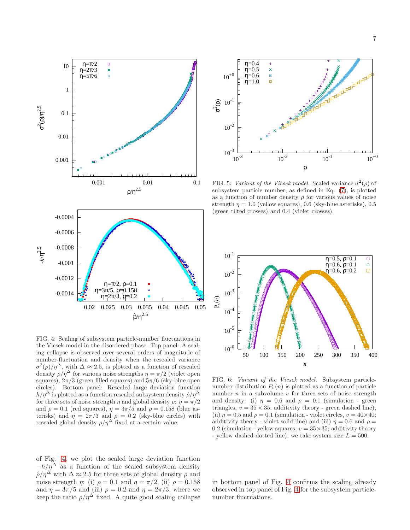

<span id="page-6-0"></span>FIG. 4: Scaling of subsystem particle-number fluctuations in the Vicsek model in the disordered phase. Top panel: A scaling collapse is observed over several orders of magnitude of number-fluctuation and density when the rescaled variance  $\sigma^2(\rho)/\eta^{\Delta}$ , with  $\Delta \approx 2.5$ , is plotted as a function of rescaled density  $\rho/\eta^{\Delta}$  for various noise strengths  $\eta = \pi/2$  (violet open squares),  $2\pi/3$  (green filled squares) and  $5\pi/6$  (sky-blue open circles). Bottom panel: Rescaled large deviation function  $h/\eta^{\Delta}$  is plotted as a function rescaled subsystem density  $\hat{\rho}/\eta^{\Delta}$ for three sets of noise strength  $\eta$  and global density  $\rho$ :  $\eta = \pi/2$ and  $\rho = 0.1$  (red squares),  $\eta = 3\pi/5$  and  $\rho = 0.158$  (blue asterisks) and  $\eta = 2\pi/3$  and  $\rho = 0.2$  (sky-blue circles) with rescaled global density  $\rho/\eta^{\Delta}$  fixed at a certain value.

of Fig. [4,](#page-6-0) we plot the scaled large deviation function  $-h/\eta^{\Delta}$  as a function of the scaled subsystem density  $\hat{\rho}/\eta^{\Delta}$  with  $\Delta \approx 2.5$  for three sets of global density  $\rho$  and noise strength  $\eta$ : (i)  $\rho = 0.1$  and  $\eta = \pi/2$ , (ii)  $\rho = 0.158$ and  $\eta = 3\pi/5$  and (iii)  $\rho = 0.2$  and  $\eta = 2\pi/3$ , where we keep the ratio  $\rho/\eta^{\Delta}$  fixed. A quite good scaling collapse



<span id="page-6-1"></span>FIG. 5: Variant of the Vicsek model. Scaled variance  $\sigma^2(\rho)$  of subsystem particle number, as defined in Eq. [\(7\)](#page-2-10), is plotted as a function of number density  $\rho$  for various values of noise strength  $\eta = 1.0$  (yellow squares), 0.6 (sky-blue asterisks), 0.5 (green tilted crosses) and 0.4 (violet crosses).



<span id="page-6-2"></span>FIG. 6: Variant of the Vicsek model. Subsystem particlenumber distribution  $P_v(n)$  is plotted as a function of particle number  $n$  in a subvolume  $v$  for three sets of noise strength and density: (i)  $\eta = 0.6$  and  $\rho = 0.1$  (simulation - green triangles,  $v = 35 \times 35$ ; additivity theory - green dashed line), (ii)  $\eta = 0.5$  and  $\rho = 0.1$  (simulation - violet circles,  $v = 40 \times 40$ ; additivity theory - violet solid line) and (iii)  $\eta = 0.6$  and  $\rho =$ 0.2 (simulation - yellow squares,  $v = 35 \times 35$ ; additivity theory - yellow dashed-dotted line); we take system size  $L = 500$ .

in bottom panel of Fig. [4](#page-6-0) confirms the scaling already observed in top panel of Fig. [4](#page-6-0) for the subsystem particlenumber fluctuations.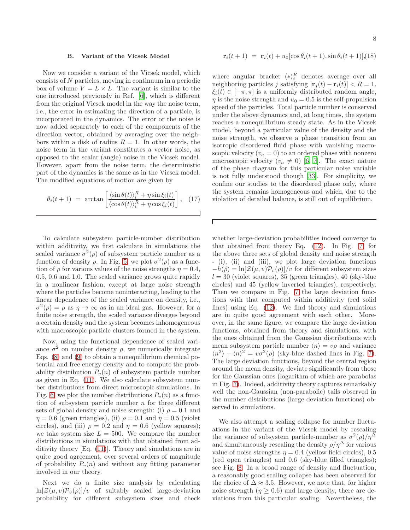### <span id="page-7-0"></span>B. Variant of the Vicsek Model

Now we consider a variant of the Vicsek model, which consists of N particles, moving in continuum in a periodic box of volume  $V = L \times L$ . The variant is similar to the one introduced previously in Ref. [\[6](#page-11-22)], which is different from the original Vicsek model in the way the noise term, i.e., the error in estimating the direction of a particle, is incorporated in the dynamics. The error or the noise is now added separately to each of the components of the direction vector, obtained by averaging over the neighbors within a disk of radius  $R = 1$ . In other words, the noise term in the variant constitutes a vector noise, as opposed to the scalar (angle) noise in the Vicsek model. However, apart from the noise term, the deterministic part of the dynamics is the same as in the Vicsek model. The modified equations of motion are given by

$$
\theta_i(t+1) = \arctan\left[\frac{\langle\sin\theta(t)\rangle_i^R + \eta\sin\xi_i(t)}{\langle\cos\theta(t)\rangle_i^R + \eta\cos\xi_i(t)}\right], \quad (17)
$$

Г

To calculate subsystem particle-number distribution within additivity, we first calculate in simulations the scaled variance  $\sigma^2(\rho)$  of subsystem particle number as a function of density  $\rho$ . In Fig. [5,](#page-6-1) we plot  $\sigma^2(\rho)$  as a function of  $\rho$  for various values of the noise strengths  $\eta = 0.4$ , 0.5, 0.6 and 1.0. The scaled variance grows quite rapidly in a nonlinear fashion, except at large noise strength where the particles become noninteracting, leading to the linear dependence of the scaled variance on density, i.e.,  $\sigma^2(\rho) = \rho$  as  $\eta \to \infty$  as in an ideal gas. However, for a finite noise strength, the scaled variance diverges beyond a certain density and the system becomes inhomogeneous with macroscopic particle clusters formed in the system.

Now, using the functional dependence of scaled variance  $\sigma^2$  on number density  $\rho$ , we numerically integrate Eqs. [\(8\)](#page-2-8) and [\(9\)](#page-2-9) to obtain a nonequilibrium chemical potential and free energy density and to compute the probability distribution  $P_v(n)$  of subsystem particle number as given in Eq. [\(11\)](#page-2-6). We also calculate subsystem number distributions from direct microscopic simulations. In Fig. [6,](#page-6-2) we plot the number distributions  $P_n(n)$  as a function of subsystem particle number  $n$  for three different sets of global density and noise strength: (i)  $\rho = 0.1$  and  $\eta = 0.6$  (green triangles), (ii)  $\rho = 0.1$  and  $\eta = 0.5$  (violet circles), and (iii)  $\rho = 0.2$  and  $\eta = 0.6$  (yellow squares); we take system size  $L = 500$ . We compare the number distributions in simulations with that obtained from additivity theory [Eq. [\(11\)](#page-2-6)]. Theory and simulations are in quite good agreement, over several orders of magnitude of probability  $P_v(n)$  and without any fitting parameter involved in our theory.

Next we do a finite size analysis by calculating  $\ln[\mathcal{Z}(\mu, v)\mathcal{P}_v(\rho)]/v$  of suitably scaled large-deviation probability for different subsystem sizes and check

$$
\mathbf{r}_i(t+1) = \mathbf{r}_i(t) + u_0[\cos\theta_i(t+1), \sin\theta_i(t+1)]
$$
 (18)

where angular bracket  $\langle * \rangle_i^R$  denotes average over all neighboring particles j satisfying  $|\mathbf{r}_i(t) - \mathbf{r}_i(t)| < R = 1$ ,  $\xi_i(t) \in [-\pi, \pi]$  is a uniformly distributed random angle,  $\eta$  is the noise strength and  $u_0 = 0.5$  is the self-propulsion speed of the particles. Total particle number is conserved under the above dynamics and, at long times, the system reaches a nonequilibrium steady state. As in the Vicsek model, beyond a particular value of the density and the noise strength, we observe a phase transition from an isotropic disordered fluid phase with vanishing macroscopic velocity  $(v_a = 0)$  to an ordered phase with nonzero macroscopic velocity  $(v_a \neq 0)$  [\[6,](#page-11-22) [7](#page-11-3)]. The exact nature of the phase diagram for this particular noise variable is not fully understood though [\[33\]](#page-11-23). For simplicity, we confine our studies to the disordered phase only, where the system remains homogeneous and which, due to the violation of detailed balance, is still out of equilibrium.

whether large-deviation probabilities indeed converge to that obtained from theory Eq. [\(12\)](#page-2-7). In Fig. [7,](#page-8-1) for the above three sets of global density and noise strength - (i), (ii) and (iii), we plot large deviation functions  $-h(\hat{\rho}) = \ln[\mathcal{Z}(\mu, v)\mathcal{P}_v(\rho)]/v$  for different subsystem sizes  $l = 30$  (violet squares), 35 (green triangles), 40 (sky-blue circles) and 45 (yellow inverted triangles), respectively. Then we compare in Fig. [7](#page-8-1) the large deviation functions with that computed within additivity (red solid lines) using Eq. [\(12\)](#page-2-7). We find theory and simulations are in quite good agreement with each other. Moreover, in the same figure, we compare the large deviation functions, obtained from theory and simulations, with the ones obtained from the Gaussian distributions with mean subsystem particle number  $\langle n \rangle = v\rho$  and variance  $\langle n^2 \rangle - \langle n \rangle^2 = v \sigma^2(\rho)$  (sky-blue dashed lines in Fig. [7\)](#page-8-1). The large deviation functions, beyond the central region around the mean density, deviate significantly from those for the Gaussian ones (logarithm of which are parabolas in Fig. [7\)](#page-8-1). Indeed, additivity theory captures remarkably well the non-Gaussian (non-parabolic) tails observed in the number distributions (large deviation functions) observed in simulations.

We also attempt a scaling collapse for number fluctuations in the variant of the Vicsek model by rescaling the variance of subsystem particle-number as  $\sigma^2(\rho)/\eta^{\Delta}$ and simultaneously rescaling the density  $\rho/\eta^{\Delta}$  for various value of noise strengths  $\eta = 0.4$  (yellow field circles), 0.5 (red open triangles) and 0.6 (sky-blue filled triangles); see Fig. [8.](#page-9-1) In a broad range of density and fluctuation, a reasonably good scaling collapse has been observed for the choice of  $\Delta \approx 3.5$ . However, we note that, for higher noise strength  $(\eta > 0.6)$  and large density, there are deviations from this particular scaling. Nevertheless, the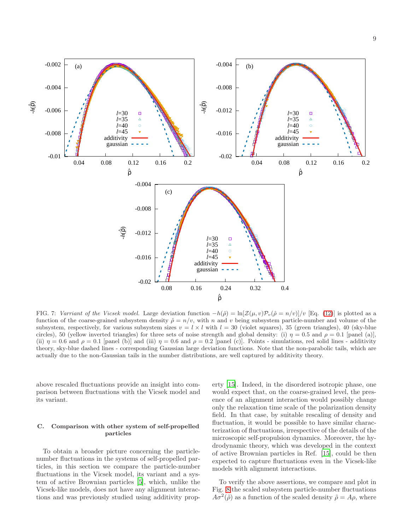

<span id="page-8-1"></span>FIG. 7: Varriant of the Vicsek model. Large deviation function  $-h(\hat{\rho}) = \ln[\mathcal{Z}(\mu, v)\mathcal{P}_v(\hat{\rho} = n/v)]/v$  [Eq. [\(12\)](#page-2-7)] is plotted as a function of the coarse-grained subsystem density  $\hat{\rho} = n/v$ , with n and v being subsystem particle-number and volume of the subsystem, respectively, for various subsystem sizes  $v = l \times l$  with  $l = 30$  (violet squares), 35 (green triangles), 40 (sky-blue circles), 50 (yellow inverted triangles) for three sets of noise strength and global density: (i)  $\eta = 0.5$  and  $\rho = 0.1$  [panel (a)], (ii)  $\eta = 0.6$  and  $\rho = 0.1$  [panel (b)] and (iii)  $\eta = 0.6$  and  $\rho = 0.2$  [panel (c)]. Points - simulations, red solid lines - additivity theory, sky-blue dashed lines - corresponding Gaussian large deviation functions. Note that the non-parabolic tails, which are actually due to the non-Gaussian tails in the number distributions, are well captured by additivity theory.

above rescaled fluctuations provide an insight into comparison between fluctuations with the Vicsek model and its variant.

### <span id="page-8-0"></span>C. Comparison with other system of self-propelled particles

To obtain a broader picture concerning the particlenumber fluctuations in the systems of self-propelled particles, in this section we compare the particle-number fluctuations in the Vicsek model, its variant and a system of active Brownian particles [\[5](#page-11-25)], which, unlike the Vicsek-like models, does not have any alignment interactions and was previously studied using additivity property [\[15\]](#page-11-7). Indeed, in the disordered isotropic phase, one would expect that, on the coarse-grained level, the presence of an alignment interaction would possibly change only the relaxation time scale of the polarization density field. In that case, by suitable rescaling of density and fluctuation, it would be possible to have similar characterization of fluctuations, irrespective of the details of the microscopic self-propulsion dynamics. Moreover, the hydrodynamic theory, which was developed in the context of active Brownian particles in Ref. [\[15](#page-11-7)], could be then expected to capture fluctuations even in the Vicsek-like models with alignment interactions.

To verify the above assertions, we compare and plot in Fig. [8](#page-9-1) the scaled subsystem particle-number fluctuations  $A\sigma^2(\tilde{\rho})$  as a function of the scaled density  $\tilde{\rho} = A\rho$ , where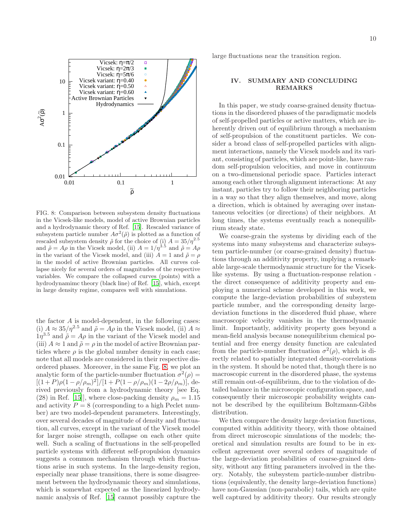

<span id="page-9-1"></span>FIG. 8: Comparison between subsystem density fluctuations in the Vicsek-like models, model of active Brownian particles and a hydrodynamic theory of Ref. [\[15](#page-11-7)]. Rescaled variance of subsystem particle number  $A\sigma^2(\tilde{\rho})$  is plotted as a function of rescaled subsystem density  $\tilde{\rho}$  for the choice of (i)  $A = 35/\eta^{2.5}$ and  $\tilde{\rho} = A\rho$  in the Vicsek model, (ii)  $A = 1/\eta^{\hat{3}\cdot\hat{5}}$  and  $\tilde{\rho} = A\rho$ in the variant of the Vicsek model, and (iii)  $A = 1$  and  $\tilde{\rho} = \rho$ in the model of active Brownian particles. All curves collapse nicely for several orders of magnitudes of the respective variables. We compare the collapsed curves (points) with a hydrodynamimc theory (black line) of Ref. [\[15](#page-11-7)], which, except in large density regime, compares well with simulations.

the factor A is model-dependent, in the following cases: (i)  $A \approx 35/\eta^{2.5}$  and  $\tilde{\rho} = A\rho$  in the Vicsek model, (ii)  $A \approx$  $1\eta^{3.5}$  and  $\tilde{\rho} = A\rho$  in the variant of the Vicsek model and (iii)  $A \approx 1$  and  $\tilde{\rho} = \rho$  in the model of active Brownian particles where  $\rho$  is the global number density in each case; note that all models are considered in their respective disordered phases. Moreover, in the same Fig. [8,](#page-9-1) we plot an analytic form of the particle-number fluctuation  $\sigma^2(\rho)$  =  $[(1+P)\rho(1-\rho/\rho_m)^2]/[1+P(1-\rho/\rho_m)(1-2\rho/\rho_m)]$ , derived previously from a hydrodynamic theory [see Eq. (28) in Ref. [\[15\]](#page-11-7), where close-packing density  $\rho_m = 1.15$ and activity  $P = 8$  (corresponding to a high Peclet number) are two model-dependent parameters. Interestingly, over several decades of magnitude of density and fluctuation, all curves, except in the variant of the Vicsek model for larger noise strength, collapse on each other quite well. Such a scaling of fluctuations in the self-propelled particle systems with different self-propulsion dynamics suggests a common mechanism through which fluctuations arise in such systems. In the large-density region, especially near phase transitions, there is some disagreement between the hydrodynamic theory and simulations, which is somewhat expected as the linearized hydrodynamic analysis of Ref. [\[15](#page-11-7)] cannot possibly capture the large fluctuations near the transition region.

## <span id="page-9-0"></span>IV. SUMMARY AND CONCLUDING REMARKS

In this paper, we study coarse-grained density fluctuations in the disordered phases of the paradigmatic models of self-propelled particles or active matters, which are inherently driven out of equilibrium through a mechanism of self-propulsion of the constituent particles. We consider a broad class of self-propelled particles with alignment interactions, namely the Vicsek models and its variant, consisting of particles, which are point-like, have random self-propulsion velocities, and move in continuum on a two-dimensional periodic space. Particles interact among each other through alignment interactions: At any instant, particles try to follow their neighboring particles in a way so that they align themselves, and move, along a direction, which is obtained by averaging over instantaneous velocities (or directions) of their neighbors. At long times, the systems eventually reach a nonequilibrium steady state.

We coarse-grain the systems by dividing each of the systems into many subsystems and characterize subsystem particle-number (or coarse-grained density) fluctuations through an additivity property, implying a remarkable large-scale thermodynamic structure for the Vicseklike systems. By using a fluctuation-response relation the direct consequence of additivity property and employing a numerical scheme developed in this work, we compute the large-deviation probabilities of subsystem particle number, and the corresponding density largedeviation functions in the disordered fluid phase, where macroscopic velocity vanishes in the thermodynamic limit. Importantly, additivity property goes beyond a mean-field analysis because nonequilibrium chemical potential and free energy density function are calculated from the particle-number fluctuation  $\sigma^2(\rho)$ , which is directly related to spatially integrated density-correlations in the system. It should be noted that, though there is no macroscopic current in the disordered phase, the systems still remain out-of-equilibrium, due to the violation of detailed balance in the microscopic configuration space, and consequently their microscopic probability weights cannot be described by the equilibrium Boltzmann-Gibbs distribution.

We then compare the density large deviation functions, computed within additivity theory, with those obtained from direct microscopic simulations of the models; theoretical and simulation results are found to be in excellent agreement over several orders of magnitude of the large-deviation probabilities of coarse-grained density, without any fitting parameters involved in the theory. Notably, the subsystem particle-number distributions (equivalently, the density large-deviation functions) have non-Gaussian (non-parabolic) tails, which are quite well captured by additivity theory. Our results strongly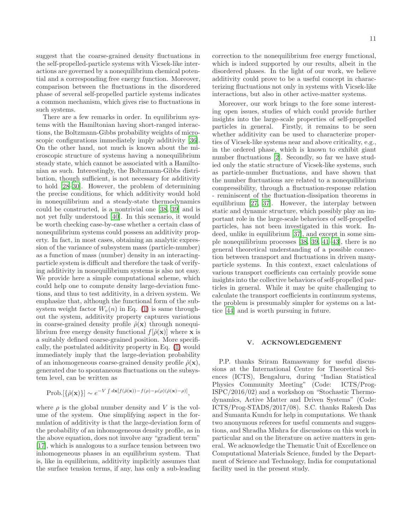suggest that the coarse-grained density fluctuations in the self-propelled-particle systems with Vicsek-like interactions are governed by a nonequilibrium chemical potential and a corresponding free energy function. Moreover, comparison between the fluctuations in the disordered phase of several self-propelled particle systems indicates a common mechanism, which gives rise to fluctuations in such systems.

There are a few remarks in order. In equilibrium systems with the Hamiltonian having short-ranged interactions, the Boltzmann-Gibbs probability weights of micro-scopic configurations immediately imply additivity [\[36\]](#page-11-19). On the other hand, not much is known about the microscopic structure of systems having a nonequilibrium steady state, which cannot be associated with a Hamiltonian as such. Interestingly, the Boltzmann-Gibbs distribution, though sufficient, is not necessary for additivity to hold [\[28](#page-11-17)[–30\]](#page-11-20). However, the problem of determining the precise conditions, for which additivity would hold in nonequilibrium and a steady-state thermodynamics could be constructed, is a nontrivial one [\[38](#page-11-26), [39\]](#page-11-27) and is not yet fully understood [\[40\]](#page-11-28). In this scenario, it would be worth checking case-by-case whether a certain class of nonequilibrium systems could possess an additivity property. In fact, in most cases, obtaining an analytic expression of the variance of subsystem mass (particle-number) as a function of mass (number) density in an interactingparticle system is difficult and therefore the task of verifying additivity in nonequilibrium systems is also not easy. We provide here a simple computational scheme, which could help one to compute density large-deviation functions, and thus to test additivity, in a driven system. We emphasize that, although the functional form of the subsystem weight factor  $W_n(n)$  in Eq. [\(1\)](#page-1-1) is same throughout the system, additivity property captures variations in coarse-grained density profile  $\hat{\rho}(\mathbf{x})$  through nonequilibrium free energy density functional  $f[\hat{\rho}(\mathbf{x})]$  where **x** is a suitably defined coarse-grained position. More specifically, the postulated additivity property in Eq. [\(1\)](#page-1-1) would immediately imply that the large-deviation probability of an inhomogeneous coarse-grained density profile  $\hat{\rho}(\mathbf{x})$ , generated due to spontaneous fluctuations on the subsystem level, can be written as

$$
Prob.[\{\hat{\rho}(\mathbf{x})\}] \sim e^{-V\int d\mathbf{x}[f(\hat{\rho}(\mathbf{x}))-f(\rho)-\mu(\rho)(\hat{\rho}(\mathbf{x})-\rho)]},
$$

where  $\rho$  is the global number density and V is the volume of the system. One simplifying aspect in the formulation of additivity is that the large-deviation form of the probability of an inhomogeneous density profile, as in the above equation, does not involve any "gradient term" [\[17\]](#page-11-9), which is analogous to a surface tension between two inhomogeneous phases in an equilibrium system. That is, like in equilibrium, additivity implicitly assumes that the surface tension terms, if any, has only a sub-leading

correction to the nonequilibrium free energy functional, which is indeed supported by our results, albeit in the disordered phases. In the light of our work, we believe additivity could prove to be a useful concept in characterizing fluctuations not only in systems with Vicsek-like interactions, but also in other active-matter systems.

Moreover, our work brings to the fore some interesting open issues, studies of which could provide further insights into the large-scale properties of self-propelled particles in general. Firstly, it remains to be seen whether additivity can be used to characterize properties of Vicsek-like systems near and above criticality, e.g., in the ordered phase, which is known to exhibit giant number fluctuations [\[2\]](#page-11-1). Secondly, so far we have studied only the static structure of Vicsek-like systems, such as particle-number fluctuations, and have shown that the number fluctuations are related to a nonequilibrium compressibility, through a fluctuation-response relation - reminiscent of the fluctuation-dissipation theorems in equilibrium [\[27,](#page-11-16) [37\]](#page-11-29). However, the interplay between static and dynamic structure, which possibly play an important role in the large-scale behaviors of self-propelled particles, has not been investigated in this work. Indeed, unlike in equilibrium [\[37\]](#page-11-29), and except in some simple nonequilibrium processes [\[38,](#page-11-26) [39,](#page-11-27) [41](#page-11-30)[–43\]](#page-11-31), there is no general theoretical understanding of a possible connection between transport and fluctuations in driven manyparticle systems. In this context, exact calculations of various transport coefficients can certainly provide some insights into the collective behaviors of self-propelled particles in general. While it may be quite challenging to calculate the transport coefficients in continuum systems, the problem is presumably simpler for systems on a lattice [\[44\]](#page-11-32) and is worth pursuing in future.

### V. ACKNOWLEDGEMENT

P.P. thanks Sriram Ramaswamy for useful discussions at the International Centre for Theoretical Sciences (ICTS), Bengaluru, during "Indian Statistical Physics Community Meeting" (Code: ICTS/Prog-ISPC/2016/02) and a workshop on "Stochastic Thermodynamics, Active Matter and Driven Systems" (Code: ICTS/Prog-STADS/2017/08). S.C. thanks Rakesh Das and Sumanta Kundu for help in computations. We thank two anonymous referees for useful comments and suggestions, and Shradha Mishra for discussions on this work in particular and on the literature on active matters in general. We acknowledge the Thematic Unit of Excellence on Computational Materials Science, funded by the Department of Science and Technology, India for computational facility used in the present study.